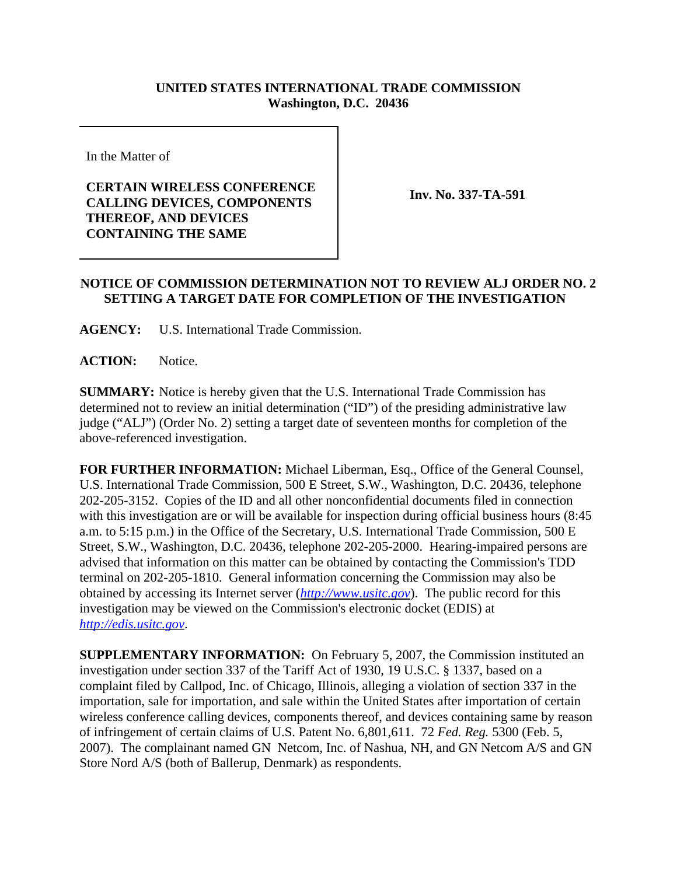## **UNITED STATES INTERNATIONAL TRADE COMMISSION Washington, D.C. 20436**

In the Matter of

## **CERTAIN WIRELESS CONFERENCE CALLING DEVICES, COMPONENTS THEREOF, AND DEVICES CONTAINING THE SAME**

**Inv. No. 337-TA-591**

## **NOTICE OF COMMISSION DETERMINATION NOT TO REVIEW ALJ ORDER NO. 2 SETTING A TARGET DATE FOR COMPLETION OF THE INVESTIGATION**

**AGENCY:** U.S. International Trade Commission.

**ACTION:** Notice.

**SUMMARY:** Notice is hereby given that the U.S. International Trade Commission has determined not to review an initial determination ("ID") of the presiding administrative law judge ("ALJ") (Order No. 2) setting a target date of seventeen months for completion of the above-referenced investigation.

**FOR FURTHER INFORMATION:** Michael Liberman, Esq., Office of the General Counsel, U.S. International Trade Commission, 500 E Street, S.W., Washington, D.C. 20436, telephone 202-205-3152. Copies of the ID and all other nonconfidential documents filed in connection with this investigation are or will be available for inspection during official business hours (8:45) a.m. to 5:15 p.m.) in the Office of the Secretary, U.S. International Trade Commission, 500 E Street, S.W., Washington, D.C. 20436, telephone 202-205-2000. Hearing-impaired persons are advised that information on this matter can be obtained by contacting the Commission's TDD terminal on 202-205-1810. General information concerning the Commission may also be obtained by accessing its Internet server (*http://www.usitc.gov*). The public record for this investigation may be viewed on the Commission's electronic docket (EDIS) at *http://edis.usitc.gov*.

**SUPPLEMENTARY INFORMATION:** On February 5, 2007, the Commission instituted an investigation under section 337 of the Tariff Act of 1930, 19 U.S.C. § 1337, based on a complaint filed by Callpod, Inc. of Chicago, Illinois, alleging a violation of section 337 in the importation, sale for importation, and sale within the United States after importation of certain wireless conference calling devices, components thereof, and devices containing same by reason of infringement of certain claims of U.S. Patent No. 6,801,611. 72 *Fed. Reg.* 5300 (Feb. 5, 2007). The complainant named GN Netcom, Inc. of Nashua, NH, and GN Netcom A/S and GN Store Nord A/S (both of Ballerup, Denmark) as respondents.